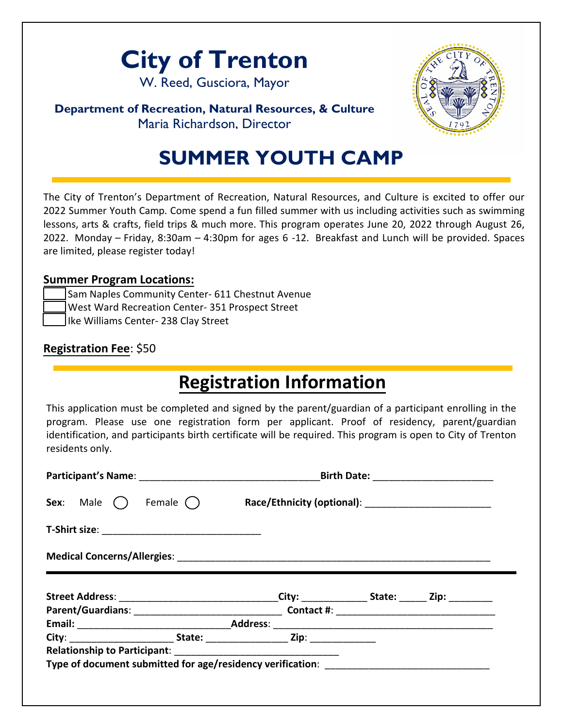

W. Reed, Gusciora, Mayor

#### **Department of Recreation, Natural Resources, & Culture** Maria Richardson, Director

# **SUMMER YOUTH CAMP**

The City of Trenton's Department of Recreation, Natural Resources, and Culture is excited to offer our 2022 Summer Youth Camp. Come spend a fun filled summer with us including activities such as swimming lessons, arts & crafts, field trips & much more. This program operates June 20, 2022 through August 26, 2022. Monday – Friday, 8:30am – 4:30pm for ages 6 -12. Breakfast and Lunch will be provided. Spaces are limited, please register today!

#### **Summer Program Locations:**

| Sam Naples Community Center- 611 Chestnut Avenue |
|--------------------------------------------------|
| West Ward Recreation Center- 351 Prospect Street |
| Ike Williams Center- 238 Clay Street             |

### **Registration Fee**: \$50

# **Registration Information**

This application must be completed and signed by the parent/guardian of a participant enrolling in the program. Please use one registration form per applicant. Proof of residency, parent/guardian identification, and participants birth certificate will be required. This program is open to City of Trenton residents only.

|                                   |  | Birth Date: _______________________                                                                  |  |  |  |
|-----------------------------------|--|------------------------------------------------------------------------------------------------------|--|--|--|
| Sex: Male $\bigcap$<br>Female ( ) |  |                                                                                                      |  |  |  |
|                                   |  |                                                                                                      |  |  |  |
|                                   |  |                                                                                                      |  |  |  |
|                                   |  | Street Address: _________________________________City: ________________State: _______Zip: __________ |  |  |  |
|                                   |  |                                                                                                      |  |  |  |
|                                   |  |                                                                                                      |  |  |  |
|                                   |  |                                                                                                      |  |  |  |
|                                   |  |                                                                                                      |  |  |  |
|                                   |  |                                                                                                      |  |  |  |
|                                   |  |                                                                                                      |  |  |  |